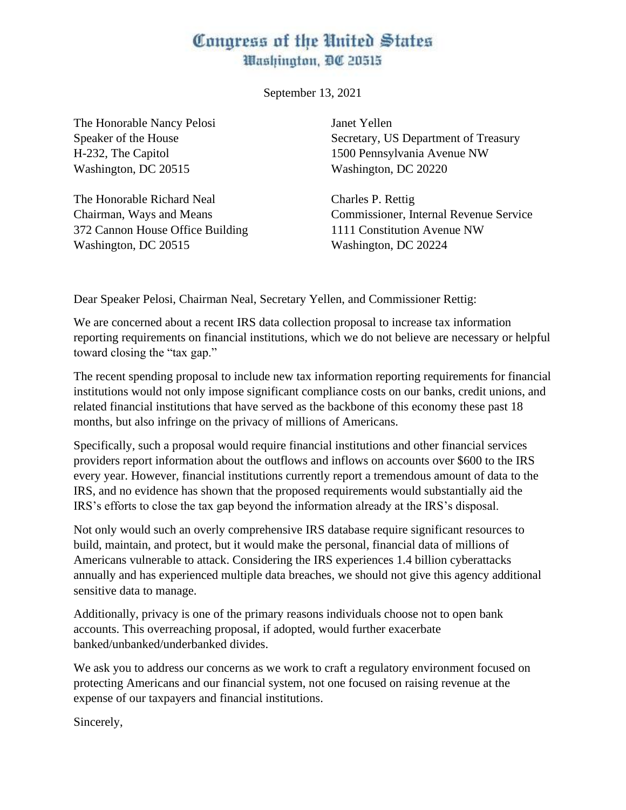## Congress of the United States Washington, DC 20515

September 13, 2021

The Honorable Nancy Pelosi Speaker of the House H-232, The Capitol Washington, DC 20515

The Honorable Richard Neal Chairman, Ways and Means 372 Cannon House Office Building Washington, DC 20515

Janet Yellen Secretary, US Department of Treasury 1500 Pennsylvania Avenue NW Washington, DC 20220

Charles P. Rettig Commissioner, Internal Revenue Service 1111 Constitution Avenue NW Washington, DC 20224

Dear Speaker Pelosi, Chairman Neal, Secretary Yellen, and Commissioner Rettig:

We are concerned about a recent IRS data collection proposal to increase tax information reporting requirements on financial institutions, which we do not believe are necessary or helpful toward closing the "tax gap."

The recent spending proposal to include new tax information reporting requirements for financial institutions would not only impose significant compliance costs on our banks, credit unions, and related financial institutions that have served as the backbone of this economy these past 18 months, but also infringe on the privacy of millions of Americans.

Specifically, such a proposal would require financial institutions and other financial services providers report information about the outflows and inflows on accounts over \$600 to the IRS every year. However, financial institutions currently report a tremendous amount of data to the IRS, and no evidence has shown that the proposed requirements would substantially aid the IRS's efforts to close the tax gap beyond the information already at the IRS's disposal.

Not only would such an overly comprehensive IRS database require significant resources to build, maintain, and protect, but it would make the personal, financial data of millions of Americans vulnerable to attack. Considering the IRS experiences 1.4 billion cyberattacks annually and has experienced multiple data breaches, we should not give this agency additional sensitive data to manage.

Additionally, privacy is one of the primary reasons individuals choose not to open bank accounts. This overreaching proposal, if adopted, would further exacerbate banked/unbanked/underbanked divides.

We ask you to address our concerns as we work to craft a regulatory environment focused on protecting Americans and our financial system, not one focused on raising revenue at the expense of our taxpayers and financial institutions.

Sincerely,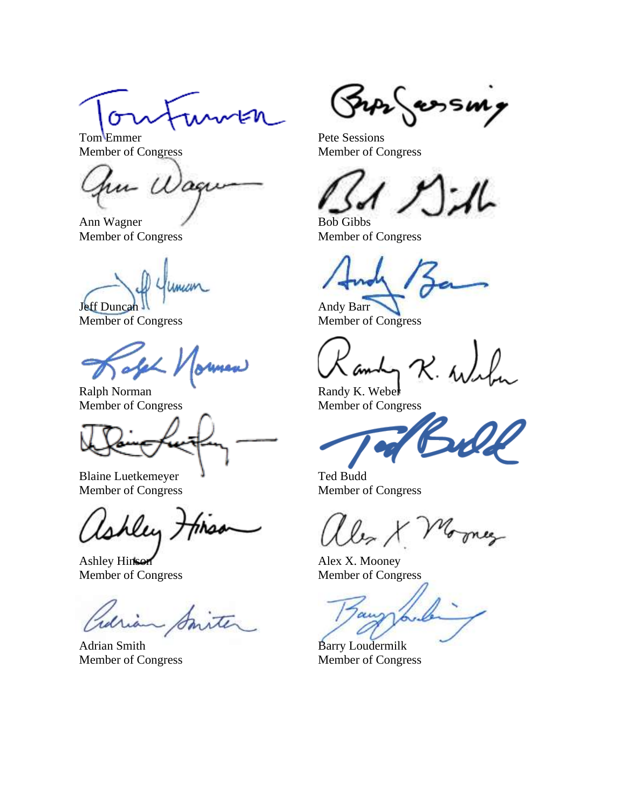Tom Emmer Member of Congress

u Wag

Ann Wagner Member of Congress

mum

Jeff Duncan Member of Congress

Ralph Norman Member of Congress

Blaine Luetkemeyer Member of Congress

shley 7

Ashley Hinson Member of Congress

Adrian Smith Member of Congress

Sur essm

Pete Sessions Member of Congress

ı

Bob Gibbs Member of Congress

Andy Barr Member of Congress

 $R.$ 

Randy K. Weber Member of Congress

Ted Budd Member of Congress

Alex X. Mooney Member of Congress

au

Barry Loudermilk Member of Congress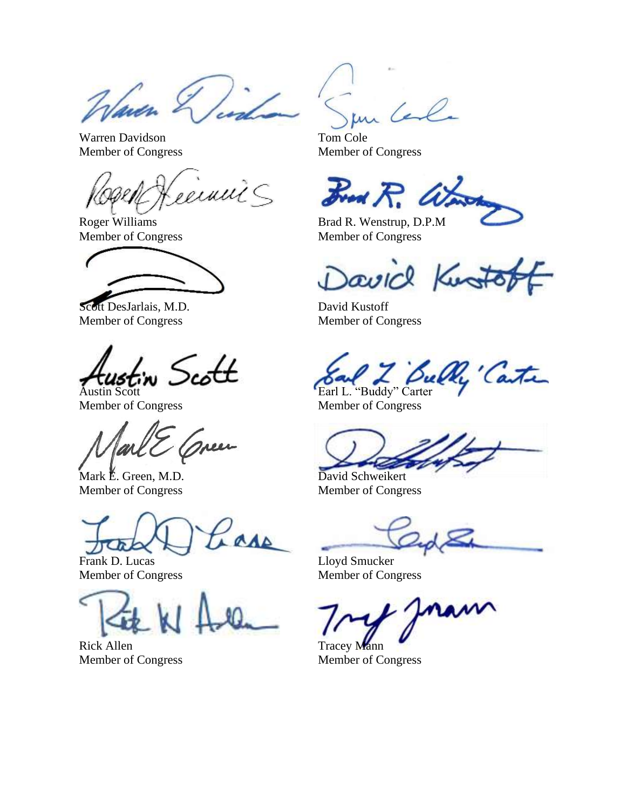Waren S

Warren Davidson Member of Congress

'einni S

Roger Williams Member of Congress

Scott DesJarlais, M.D. Member of Congress

, Scott

Austin Scott Member of Congress

men

Mark E. Green, M.D. Member of Congress

**AAA** 

Frank D. Lucas Member of Congress

Rick Allen Member of Congress

led

Tom Cole Member of Congress

Fred R. W.

Brad R. Wenstrup, D.P.M Member of Congress

David Kusto

David Kustoff Member of Congress

Earl L. Bully Carter

Member of Congress

David Schweikert

Member of Congress

Lloyd Smucker Member of Congress

Tracey Mann Member of Congress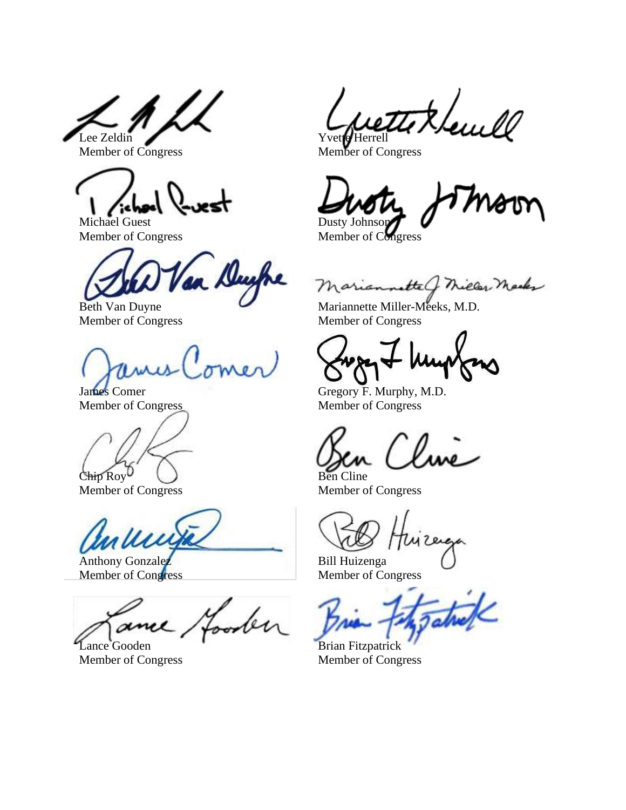Lee Zeldin Member of Congress

Michael Guest Member of Congress

Duyfre

Beth Van Duyne Member of Congress

James Comer Member of Congress

Chip Roy

Member of Congress

allen

Anthony Gonzalez Member of Congress

ber Lance Gooden

Member of Congress

yetti KL ہ<br>مال ، روہ Yvett**e** Herrell

Member of Congress

Dusty Johnson

Member of Congress

Mariannette of Miller Marks

Mariannette Miller-Meeks, M.D. Member of Congress

Gregory F. Murphy, M.D. Member of Congress

Ben Cline

Member of Congress

Bill Huizenga Member of Congress

Brian Fitzpatrick Member of Congress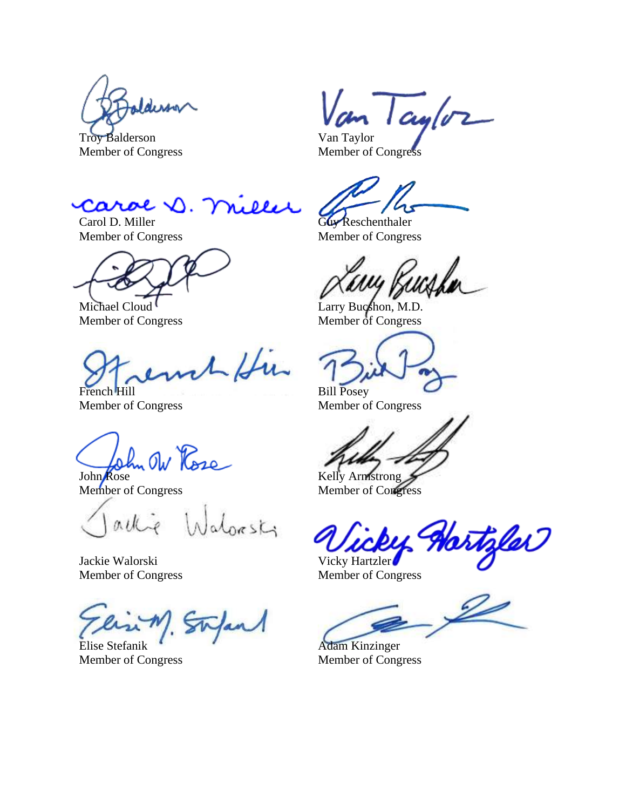Iderson

Troy Balderson Member of Congress

Van Taylor

Van Taylor Member of Congress

eeer Carol D

Carol D. Miller Member of Congress

Michael Cloud Member of Congress

1 Hu French Hill

Member of Congress

John Ow Rose

Member of Congress

allie Walpasts

Jackie Walorski Member of Congress

Elise Stefanik Member of Congress

Guy Reschenthaler Member of Congress

Larry Bucshon, M.D. Member of Congress

Bill Posey

Member of Congress

Kelly Armstrong

Member of Congress

Hortzler Vicky Hartzler

Member of Congress

Adam Kinzinger Member of Congress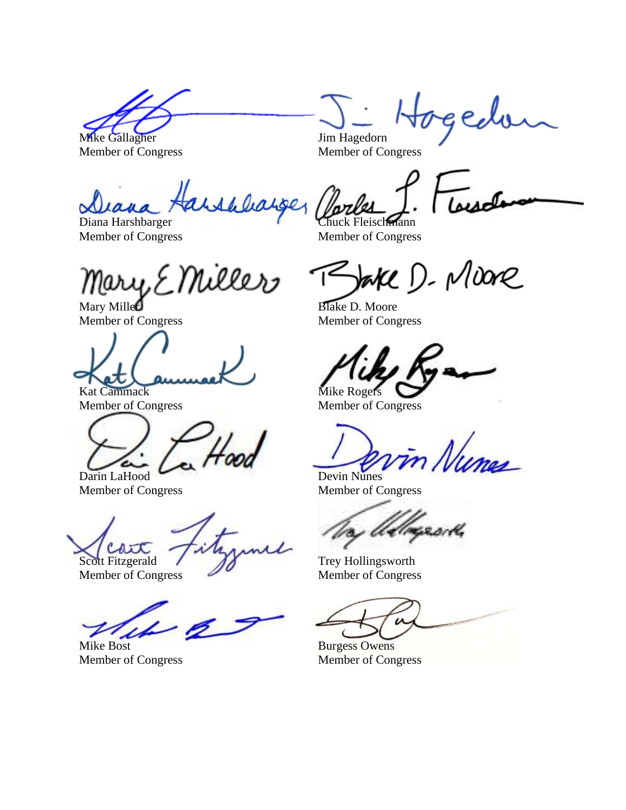Mike Gallagher Member of Congress

Jim Hagedorn Member of Congress

arshlearger sesch

Diana Harshbarger Member of Congress

Mary, E Miller

Mary Milled Member of Congress

Kat Cammack Member of Congress

Darin LaHood Member of Congress

Scott Fitzgerald

Member of Congress

Mike Bost Member of Congress

Chuck Fleischmann Member of Congress

Vake D. Moore

gedo

Blake D. Moore Member of Congress

Mike Rogers

Member of Congress

in Numes Devin Nunes

Member of Congress

Trey Hollingsworth Member of Congress

Burgess Owens Member of Congress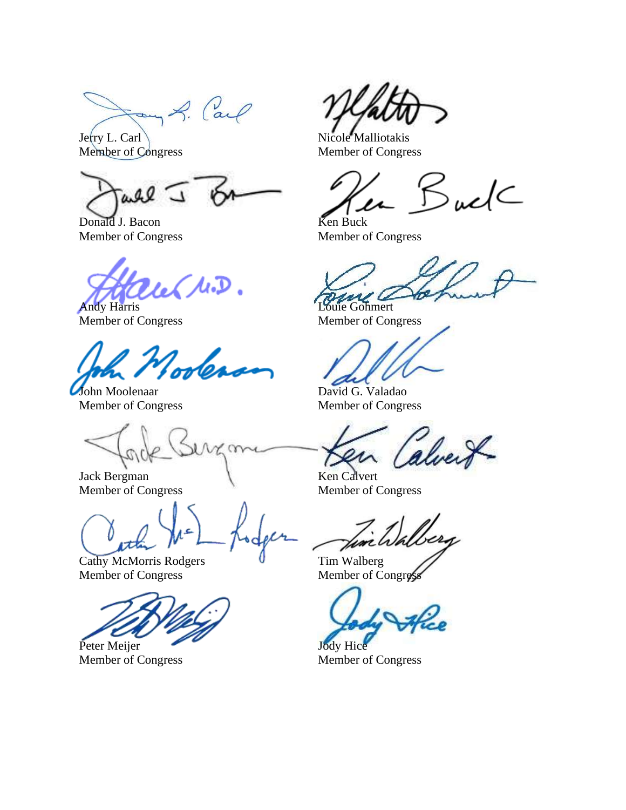Form A. Carl

Jerry L. Carl Member of Congress

 $0.92$ 

Donald J. Bacon Member of Congress

les M.D. Andy Harris

Member of Congress

zdea

John Moolenaar Member of Congress

 $\alpha$ 

Jack Bergman Member of Congress

Cathy McMorris Rodgers Member of Congress

Peter Meijer Member of Congress

Nicole Malliotakis Member of Congress

 $SudC$ 

Ken Buck Member of Congress

Louie Gohmert

Member of Congress

David G. Valadao Member of Congress

alvert

Ken Calvert Member of Congress

Tim Walberg Member of Congres

Jody Hice

Member of Congress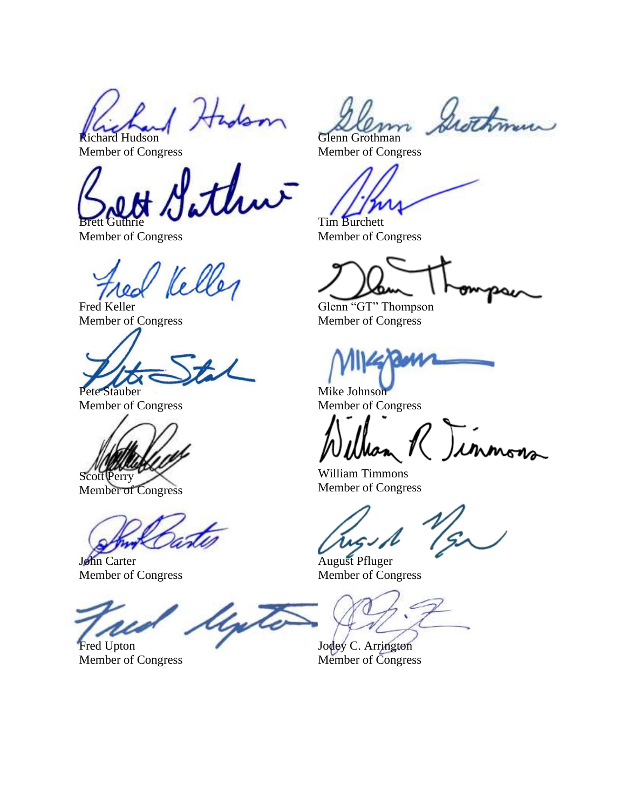1 Hadson Richard Hudson

Member of Congress

Brett Guthrie

Member of Congress

Fred Kell

Member of Congress

Pete Stauber

Member of Congress

Scott Perry

Member of Congress

John Carter Member of Congress

ligte

Fred Upton Member of Congress

Grothman Glenn Grothman

Member of Congress

Tim Burchett Member of Congress

Glenn "GT" Thompson Member of Congress

Mike Johnson Member of Congress

2 Jinnon

William Timmons Member of Congress

August Pfluger Member of Congress

Jodey C. Arrington Member of Congress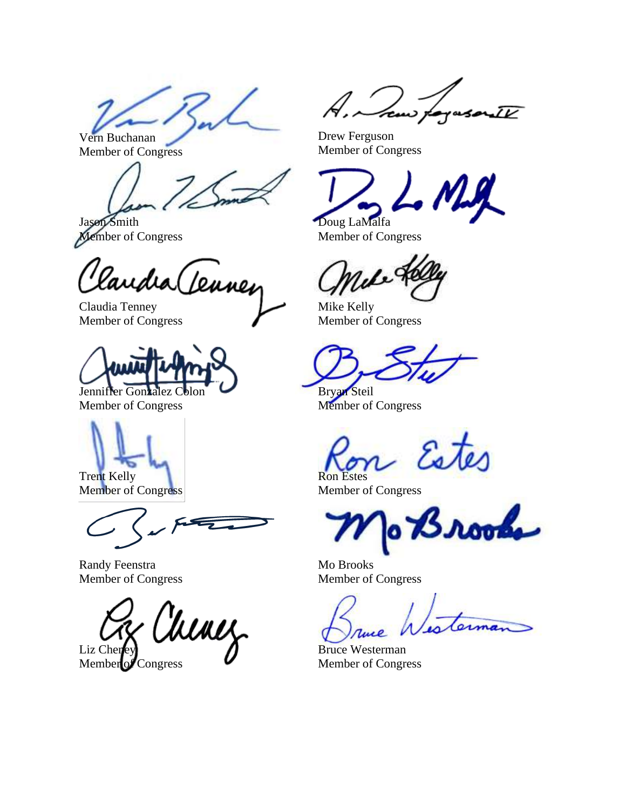Vern Buchanan

Member of Congress

Jason Smith Member of Congress

Claudia (Leuney

Member of Congress



Member of Congress



Trent Kelly Member of Congress

Randy Feenstra Member of Congress

Chinez Liz Chen

Member of Congress

JV

Drew Ferguson Member of Congress

Doug LaMalfa Member of Congress

Mike Kelly Member of Congress

Bryan Steil Member of Congress

Estes Ron Estes

Member of Congress

rooke

Mo Brooks Member of Congress

Bruce Westerman Member of Congress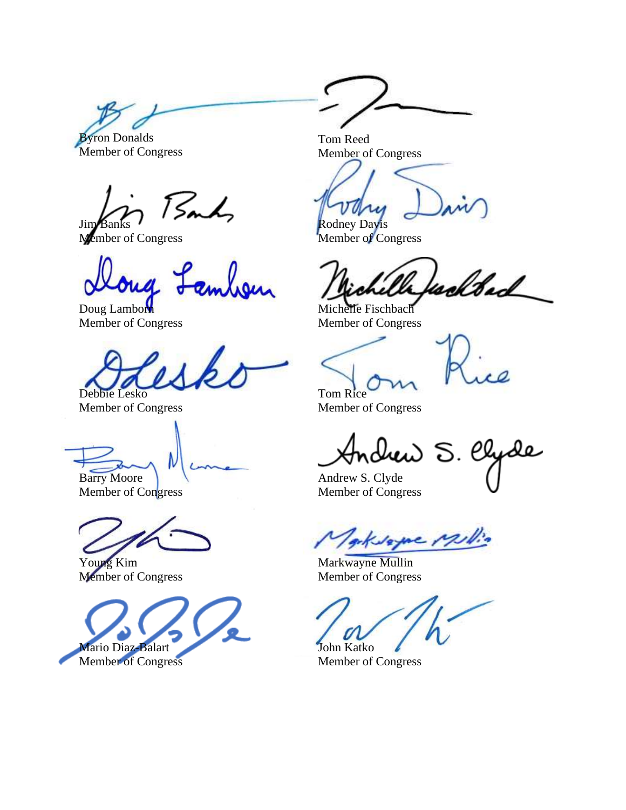Byron Donalds

Member of Congress

Sandy Jim

Member of Congress

Doug Lamborn Member of Congress

Debbie Lesko

Member of Congress

Barry Moore

Member of Congress

Young Kim Member of Congress



Tom Reed Member of Congress

Rodney Davis Member of Congress

welted

Michelle Fischbach Member of Congress

Tom Rice

Member of Congress

drew S. Clyde

Andrew S. Clyde Member of Congress

geksagne 121

Markwayne Mullin Member of Congress

John Katko

Member of Congress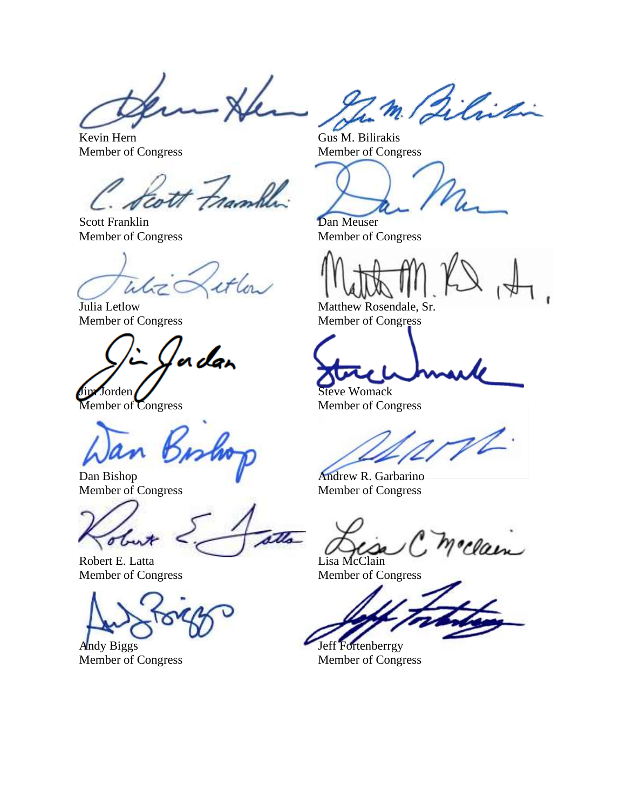Kevin Hern Member of Congress

ramble

Scott Franklin Member of Congress

White

Julia Letlow Member of Congress

'a dan Jim Jorden

Member of Congress

Dan Bishop Member of Congress

atta o

Robert E. Latta Member of Congress

Andy Biggs Member of Congress

Zm Bilistin

Gus M. Bilirakis Member of Congress

Dan Meuser Member of Congress

Matthew Rosendale, Sr. Member of Congress

Steve Womack

Member of Congress

Andrew R. Garbarino Member of Congress

Clair Lisa McClain

Member of Congress

Jeff Fortenberrgy Member of Congress